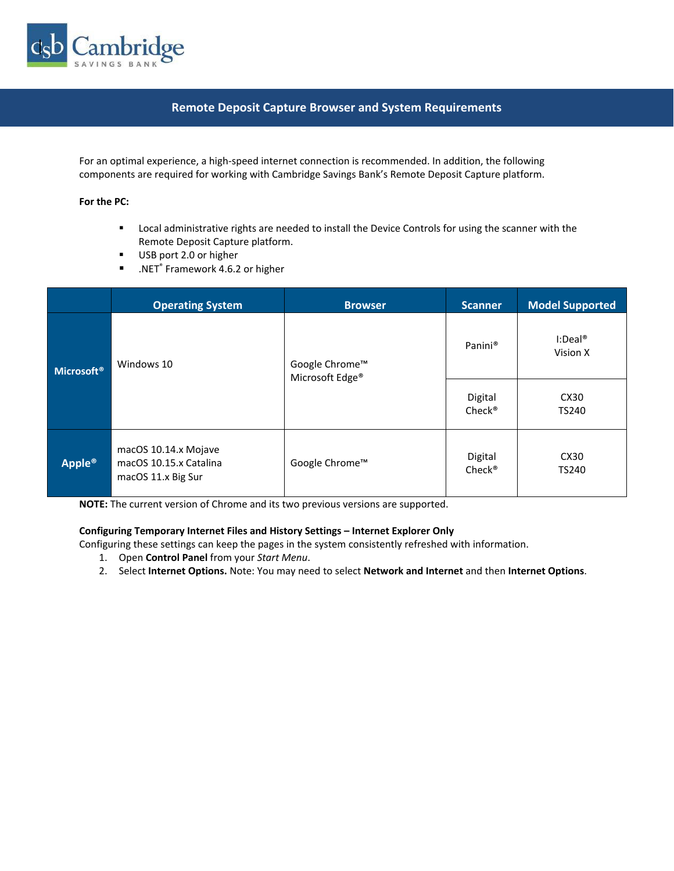

## **Remote Deposit Capture Browser and System Requirements**

For an optimal experience, a high-speed internet connection is recommended. In addition, the following components are required for working with Cambridge Savings Bank's Remote Deposit Capture platform.

## **For the PC:**

- Local administrative rights are needed to install the Device Controls for using the scanner with the Remote Deposit Capture platform.
- USB port 2.0 or higher
- .NET<sup>®</sup> Framework 4.6.2 or higher

|                        | <b>Operating System</b>                                              | <b>Browser</b>                                | <b>Scanner</b>                | <b>Model Supported</b>           |
|------------------------|----------------------------------------------------------------------|-----------------------------------------------|-------------------------------|----------------------------------|
| Microsoft <sup>®</sup> | Windows 10                                                           | Google Chrome™<br>Microsoft Edge <sup>®</sup> | Panini®                       | $I:Deal^{\circledR}$<br>Vision X |
|                        |                                                                      |                                               | Digital<br>Check <sup>®</sup> | CX30<br>TS240                    |
| Apple <sup>®</sup>     | macOS 10.14.x Mojave<br>macOS 10.15.x Catalina<br>macOS 11.x Big Sur | Google Chrome™                                | Digital<br>Check <sup>®</sup> | CX30<br>TS240                    |

**NOTE:** The current version of Chrome and its two previous versions are supported.

## **Configuring Temporary Internet Files and History Settings – Internet Explorer Only**

Configuring these settings can keep the pages in the system consistently refreshed with information.

- 1. Open **Control Panel** from your *Start Menu*.
- 2. Select **Internet Options.** Note: You may need to select **Network and Internet** and then **Internet Options**.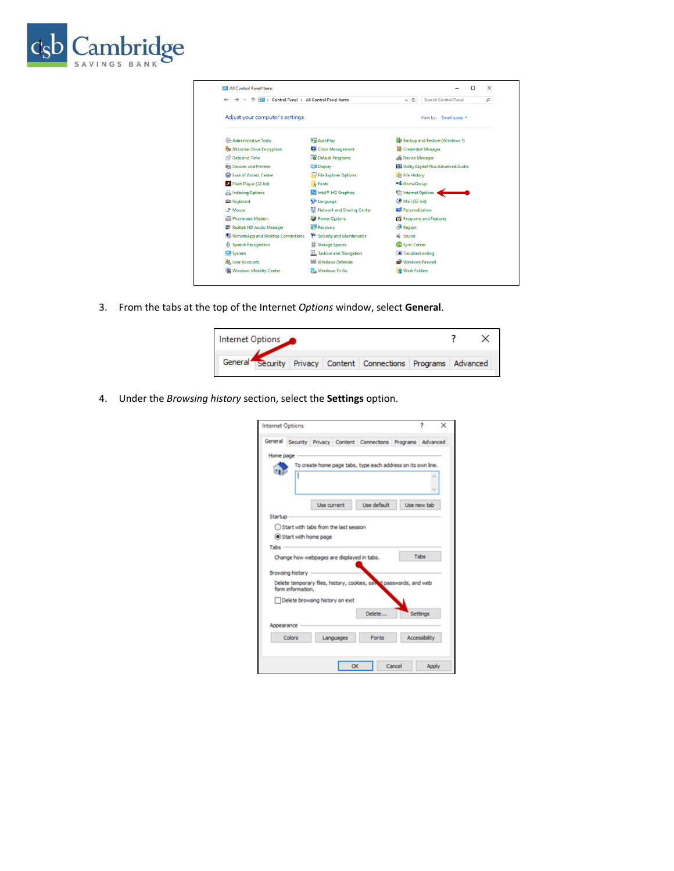

| <b>EE</b> All Control Panel Items                         | $\times$<br>п                         |                                             |  |  |
|-----------------------------------------------------------|---------------------------------------|---------------------------------------------|--|--|
| > Control Panel > All Control Panel Items<br>$\leftarrow$ | Search Control Panel<br>۹<br>$\sim$ 0 |                                             |  |  |
| Adjust your computer's settings                           |                                       | View by: Small icons ▼                      |  |  |
| Administrative Tools                                      | <b>Ba</b> AutoPlay                    | <b>W</b> Backup and Restore (Windows 7)     |  |  |
| <b>By BitLocker Drive Encryption</b>                      | Color Management                      | Credential Manager                          |  |  |
| Date and Time                                             | Default Programs                      | Device Manager                              |  |  |
| <b>REA Devices and Printers</b>                           | Display                               | <b>Et Dolby Digital Plus Advanced Audio</b> |  |  |
| <b>B</b> Ease of Access Center                            | File Explorer Options                 | <b>C</b> File History                       |  |  |
| Flash Player (32-bit)                                     | A Fonts                               | <b>*6</b> HomeGroup                         |  |  |
| <b>P</b> Indexing Options                                 | Intel <sup>®</sup> HD Graphics        | <b>Calnternet Options</b>                   |  |  |
| Keyboard                                                  | <b>S# Language</b>                    | <b><i>CD</i></b> Mail (32-bit)              |  |  |
| <b><i>P</i></b> Mouse                                     | Network and Sharing Center            | Personalization                             |  |  |
| Phone and Modem                                           | Power Options                         | Programs and Features                       |  |  |
| Realtek HD Audio Manager                                  | <b>C</b> Recovery                     | Region                                      |  |  |
| RemoteApp and Desktop Connections                         | Security and Maintenance              | Sound                                       |  |  |
| <b>Speech Recognition</b>                                 | Storage Spaces                        | Sync Center                                 |  |  |
| System                                                    | Taskbar and Navigation                | Troubleshooting                             |  |  |
| SR. User Accounts                                         | <b>Mill</b> Windows Defender          | Windows Firewall                            |  |  |
| Windows Mobility Center                                   | <b>Windows To Go</b>                  | <b>III</b> Work Folders                     |  |  |

3. From the tabs at the top of the Internet *Options* window, select **General**.

| Internet Options                                               |  |  |  |  |
|----------------------------------------------------------------|--|--|--|--|
| General Security Privacy Content Connections Programs Advanced |  |  |  |  |

4. Under the *Browsing history* section, select the **Settings** option.

| <b>Internet Options</b>                                        |                                                                    |             |        | 7                    | × |
|----------------------------------------------------------------|--------------------------------------------------------------------|-------------|--------|----------------------|---|
|                                                                |                                                                    |             |        |                      |   |
| General Security Privacy Content Connections Programs Advanced |                                                                    |             |        |                      |   |
| Home page                                                      |                                                                    |             |        |                      |   |
|                                                                | To create home page tabs, type each address on its own line.       |             |        |                      |   |
|                                                                |                                                                    |             |        |                      |   |
|                                                                | Use current                                                        | Use default |        | Use new tab          |   |
| Startup                                                        |                                                                    |             |        |                      |   |
|                                                                | ◯ Start with tabs from the last session                            |             |        |                      |   |
| (@) Start with home page                                       |                                                                    |             |        |                      |   |
| Tabe                                                           |                                                                    |             |        |                      |   |
|                                                                | Change how webpages are displayed in tabs.                         |             |        | Tabs                 |   |
| Browsing history -                                             |                                                                    |             |        |                      |   |
| form information.                                              | Delete temporary files, history, cookies, saw d passwords, and web |             |        |                      |   |
|                                                                | Delete browsing history on exit                                    |             |        |                      |   |
|                                                                |                                                                    | Delete      |        | Settings             |   |
| Appearance                                                     |                                                                    |             |        |                      |   |
| Colors                                                         | Languages                                                          | Fonts       |        | <b>Accessibility</b> |   |
|                                                                |                                                                    |             |        |                      |   |
|                                                                | OK                                                                 |             | Cancel | Apply                |   |